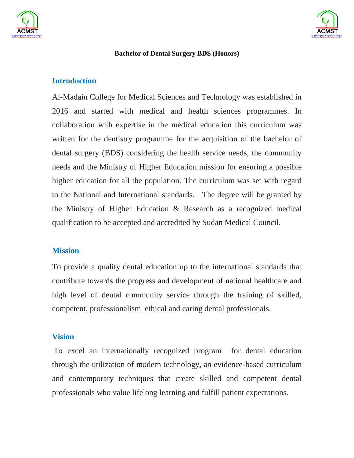



#### **Bachelor of Dental Surgery BDS (Honors)**

#### **Introduction**

Al-Madain College for Medical Sciences and Technology was established in 2016 and started with medical and health sciences programmes. In collaboration with expertise in the medical education this curriculum was written for the dentistry programme for the acquisition of the bachelor of dental surgery (BDS) considering the health service needs, the community needs and the Ministry of Higher Education mission for ensuring a possible higher education for all the population. The curriculum was set with regard to the National and International standards. The degree will be granted by the Ministry of Higher Education & Research as a recognized medical qualification to be accepted and accredited by Sudan Medical Council.

### **Mission**

To provide a quality dental education up to the international standards that contribute towards the progress and development of national healthcare and high level of dental community service through the training of skilled, competent, professionalism ethical and caring dental professionals.

### **Vision**

To excel an internationally recognized program for dental education through the utilization of modern technology, an evidence-based curriculum and contemporary techniques that create skilled and competent dental professionals who value lifelong learning and fulfill patient expectations.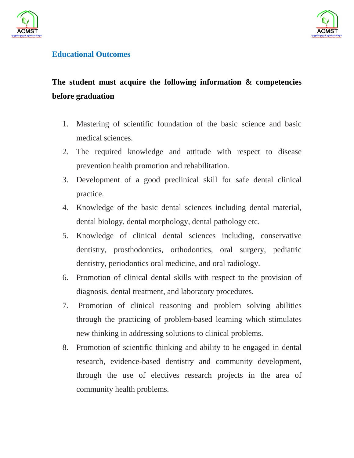



## **Educational Outcomes**

# **The student must acquire the following information & competencies before graduation**

- 1. Mastering of scientific foundation of the basic science and basic medical sciences.
- 2. The required knowledge and attitude with respect to disease prevention health promotion and rehabilitation.
- 3. Development of a good preclinical skill for safe dental clinical practice.
- 4. Knowledge of the basic dental sciences including dental material, dental biology, dental morphology, dental pathology etc.
- 5. Knowledge of clinical dental sciences including, conservative dentistry, prosthodontics, orthodontics, oral surgery, pediatric dentistry, periodontics oral medicine, and oral radiology.
- 6. Promotion of clinical dental skills with respect to the provision of diagnosis, dental treatment, and laboratory procedures.
- 7. Promotion of clinical reasoning and problem solving abilities through the practicing of problem-based learning which stimulates new thinking in addressing solutions to clinical problems.
- 8. Promotion of scientific thinking and ability to be engaged in dental research, evidence-based dentistry and community development, through the use of electives research projects in the area of community health problems.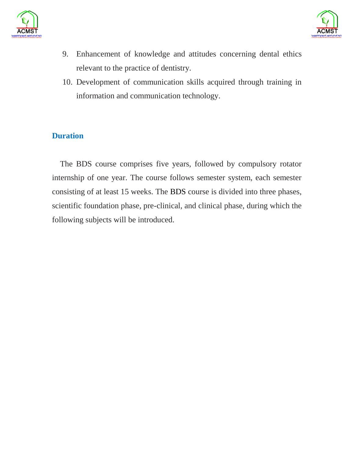



- 9. Enhancement of knowledge and attitudes concerning dental ethics relevant to the practice of dentistry.
- 10. Development of communication skills acquired through training in information and communication technology.

## **Duration**

 The BDS course comprises five years, followed by compulsory rotator internship of one year. The course follows semester system, each semester consisting of at least 15 weeks. The BDS course is divided into three phases, scientific foundation phase, pre-clinical, and clinical phase, during which the following subjects will be introduced.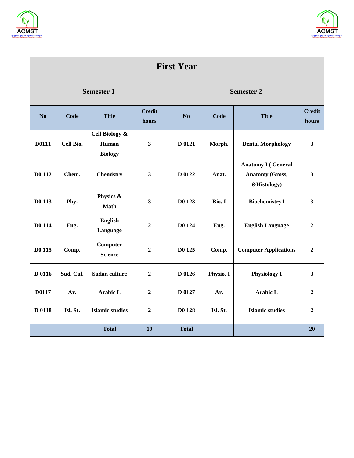



| <b>First Year</b> |           |                                           |                         |                   |           |                                                                    |                         |  |  |
|-------------------|-----------|-------------------------------------------|-------------------------|-------------------|-----------|--------------------------------------------------------------------|-------------------------|--|--|
| <b>Semester 1</b> |           |                                           |                         | <b>Semester 2</b> |           |                                                                    |                         |  |  |
| No                | Code      | <b>Title</b>                              | <b>Credit</b><br>hours  | N <sub>o</sub>    | Code      | <b>Title</b>                                                       | <b>Credit</b><br>hours  |  |  |
| D0111             | Cell Bio. | Cell Biology &<br>Human<br><b>Biology</b> | $\mathbf{3}$            | D 0121            | Morph.    | <b>Dental Morphology</b>                                           | $\overline{\mathbf{3}}$ |  |  |
| D0 112            | Chem.     | <b>Chemistry</b>                          | $\mathbf{3}$            | D 0122            | Anat.     | <b>Anatomy I (General</b><br><b>Anatomy (Gross,</b><br>&Histology) | $\mathbf{3}$            |  |  |
| D0 113            | Phy.      | Physics &<br><b>Math</b>                  | $\overline{\mathbf{3}}$ | D0 123            | Bio. I    | Biochemistry1                                                      | $\overline{\mathbf{3}}$ |  |  |
| D0 114            | Eng.      | <b>English</b><br>Language                | $\overline{2}$          | D0 124            | Eng.      | <b>English Language</b>                                            | $\boldsymbol{2}$        |  |  |
| D0 115            | Comp.     | Computer<br><b>Science</b>                | $\boldsymbol{2}$        | D0 125            | Comp.     | <b>Computer Applications</b>                                       | $\boldsymbol{2}$        |  |  |
| D 0116            | Sud. Cul. | <b>Sudan culture</b>                      | $\boldsymbol{2}$        | D 0126            | Physio. I | <b>Physiology I</b>                                                | $\overline{\mathbf{3}}$ |  |  |
| D0117             | Ar.       | <b>Arabic L</b>                           | $\overline{2}$          | D 0127            | Ar.       | Arabic L                                                           | $\overline{2}$          |  |  |
| D 0118            | Isl. St.  | <b>Islamic studies</b>                    | $\mathbf{2}$            | D0 128            | Isl. St.  | <b>Islamic studies</b>                                             | $\mathbf{2}$            |  |  |
|                   |           | <b>Total</b>                              | 19                      | <b>Total</b>      |           |                                                                    | 20                      |  |  |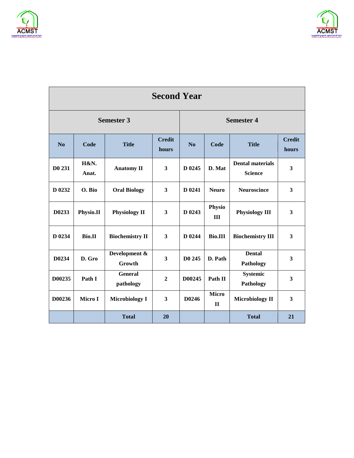



| <b>Second Year</b> |               |                                        |                         |                   |                       |                                           |                         |  |  |  |
|--------------------|---------------|----------------------------------------|-------------------------|-------------------|-----------------------|-------------------------------------------|-------------------------|--|--|--|
| <b>Semester 3</b>  |               |                                        |                         | <b>Semester 4</b> |                       |                                           |                         |  |  |  |
| N <sub>0</sub>     | Code          | <b>Credit</b><br><b>Title</b><br>hours |                         | N <sub>o</sub>    | Code                  | <b>Title</b>                              | <b>Credit</b><br>hours  |  |  |  |
| D <sub>0</sub> 231 | H&N.<br>Anat. | <b>Anatomy II</b>                      | $\mathbf{3}$            | D 0245            | D. Mat                | <b>Dental materials</b><br><b>Science</b> | $\overline{\mathbf{3}}$ |  |  |  |
| D 0232             | O. Bio        | <b>Oral Biology</b>                    | 3                       | D 0241            | <b>Neuro</b>          | <b>Neuroscince</b>                        | $\overline{\mathbf{3}}$ |  |  |  |
| D0233              | Physio.II     | <b>Physiology II</b>                   | $\mathbf{3}$            | D 0243            | Physio<br>III         | <b>Physiology III</b>                     | $\mathbf{3}$            |  |  |  |
| D 0234             | <b>Bio.II</b> | <b>Biochemistry II</b>                 | $\mathbf{3}$            | D 0244            | <b>Bio.III</b>        | <b>Biochemistry III</b>                   | $\mathbf{3}$            |  |  |  |
| D0234              | D. Gro        | Development &<br>Growth                | $\overline{\mathbf{3}}$ | D0 245            | D. Path               | <b>Dental</b><br>Pathology                | $\overline{\mathbf{3}}$ |  |  |  |
| D00235             | Path I        | <b>General</b><br>pathology            | $\mathbf{2}$            | D00245            | Path II               | Systemic<br>Pathology                     | 3                       |  |  |  |
| D00236             | Micro I       | <b>Microbiology I</b>                  | 3                       | D0246             | <b>Micro</b><br>$\Pi$ | <b>Microbiology II</b>                    | $\mathbf{3}$            |  |  |  |
|                    |               | <b>Total</b>                           | 20                      |                   |                       | <b>Total</b>                              | 21                      |  |  |  |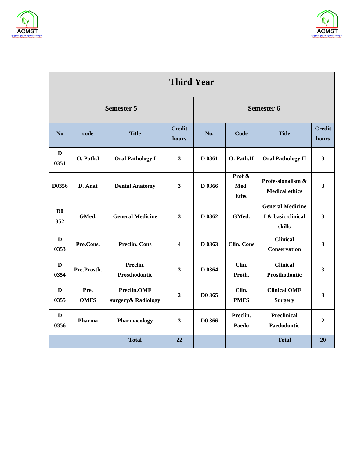



| <b>Third Year</b>     |                     |                                    |                         |                    |                         |                                                         |                         |  |  |
|-----------------------|---------------------|------------------------------------|-------------------------|--------------------|-------------------------|---------------------------------------------------------|-------------------------|--|--|
| <b>Semester 5</b>     |                     |                                    |                         | <b>Semester 6</b>  |                         |                                                         |                         |  |  |
| N <sub>o</sub>        | code                | <b>Title</b>                       |                         | No.                | Code                    | <b>Title</b>                                            | <b>Credit</b><br>hours  |  |  |
| $\mathbf{D}$<br>0351  | O. Path.I           | <b>Oral Pathology I</b>            | $\mathbf{3}$            | D 0361             | O. Path.II              | <b>Oral Pathology II</b>                                | $\mathbf{3}$            |  |  |
| D0356                 | D. Anat             | <b>Dental Anatomy</b>              | 3                       | D 0366             | Prof &<br>Med.<br>Eths. | Professionalism &<br><b>Medical ethics</b>              | $\mathbf{3}$            |  |  |
| D <sub>0</sub><br>352 | GMed.               | <b>General Medicine</b>            | $\mathbf{3}$            | D 0362             | GMed.                   | <b>General Medicine</b><br>I & basic clinical<br>skills | $\overline{\mathbf{3}}$ |  |  |
| D<br>0353             | Pre.Cons.           | <b>Preclin. Cons</b>               | $\overline{\mathbf{4}}$ | D 0363             | <b>Clin. Cons</b>       | <b>Clinical</b><br>Conservation                         | $\overline{\mathbf{3}}$ |  |  |
| D<br>0354             | Pre.Prosth.         | Preclin.<br>Prosthodontic          | 3                       | D 0364             | Clin.<br>Proth.         | <b>Clinical</b><br>Prosthodontic                        | $\mathbf{3}$            |  |  |
| $\mathbf{D}$<br>0355  | Pre.<br><b>OMFS</b> | Preclin.OMF<br>surgery & Radiology | $\overline{\mathbf{3}}$ | D <sub>0</sub> 365 | Clin.<br><b>PMFS</b>    | <b>Clinical OMF</b><br><b>Surgery</b>                   | $\mathbf{3}$            |  |  |
| D<br>0356             | Pharma              | Pharmacology                       | 3                       | D0 366             | Preclin.<br>Paedo       | <b>Preclinical</b><br>Paedodontic                       | $\boldsymbol{2}$        |  |  |
|                       |                     | <b>Total</b>                       | 22                      |                    |                         | <b>Total</b>                                            | 20                      |  |  |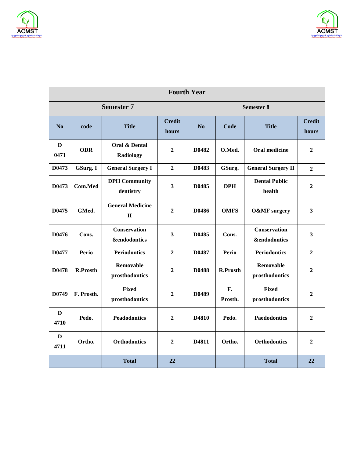



| <b>Fourth Year</b>   |                 |                                                |                         |                   |                 |                                                |                        |  |  |
|----------------------|-----------------|------------------------------------------------|-------------------------|-------------------|-----------------|------------------------------------------------|------------------------|--|--|
|                      |                 | <b>Semester 7</b>                              |                         | <b>Semester 8</b> |                 |                                                |                        |  |  |
| No                   | code            | <b>Title</b>                                   | <b>Credit</b><br>hours  | No                | Code            | <b>Title</b>                                   | <b>Credit</b><br>hours |  |  |
| $\mathbf{D}$<br>0471 | <b>ODR</b>      | <b>Oral &amp; Dental</b><br><b>Radiology</b>   | $\overline{2}$          | D0482             | O.Med.          | <b>Oral medicine</b>                           | $\overline{2}$         |  |  |
| D0473                | GSurg. I        | <b>General Surgery I</b>                       | $\overline{2}$          | D0483             | GSurg.          | <b>General Surgery II</b>                      | $\overline{2}$         |  |  |
| D0473                | Com.Med         | <b>DPH</b> Community<br>dentistry              | $\overline{\mathbf{3}}$ | D0485             | <b>DPH</b>      | <b>Dental Public</b><br>health                 | $\overline{2}$         |  |  |
| D0475                | GMed.           | <b>General Medicine</b><br>$\mathbf{I}$        | $\overline{2}$          | D0486             | <b>OMFS</b>     | <b>O&amp;MF</b> surgery                        | $\mathbf{3}$           |  |  |
| D0476                | Cons.           | <b>Conservation</b><br><b>&amp;endodontics</b> | 3                       | D0485             | Cons.           | <b>Conservation</b><br><b>&amp;endodontics</b> | 3                      |  |  |
| D0477                | <b>Perio</b>    | <b>Periodontics</b>                            | $\overline{2}$          | D0487             | <b>Perio</b>    | <b>Periodontics</b>                            | $\overline{2}$         |  |  |
| D0478                | <b>R.Prosth</b> | Removable<br>prosthodontics                    | $\overline{2}$          | <b>D0488</b>      | <b>R.Prosth</b> | Removable<br>prosthodontics                    | $\overline{2}$         |  |  |
| D0749                | F. Prosth.      | <b>Fixed</b><br>prosthodontics                 | $\overline{2}$          | D0489             | F.<br>Prosth.   | <b>Fixed</b><br>prosthodontics                 | $\boldsymbol{2}$       |  |  |
| D<br>4710            | Pedo.           | <b>Peadodontics</b>                            | $\overline{2}$          | D4810             | Pedo.           | <b>Paedodontics</b>                            | $\overline{2}$         |  |  |
| D<br>4711            | Ortho.          | <b>Orthodontics</b>                            | $\overline{2}$          | D4811             | Ortho.          | <b>Orthodontics</b>                            | $\mathbf{2}$           |  |  |
|                      |                 | <b>Total</b>                                   | 22                      |                   |                 | <b>Total</b>                                   | 22                     |  |  |